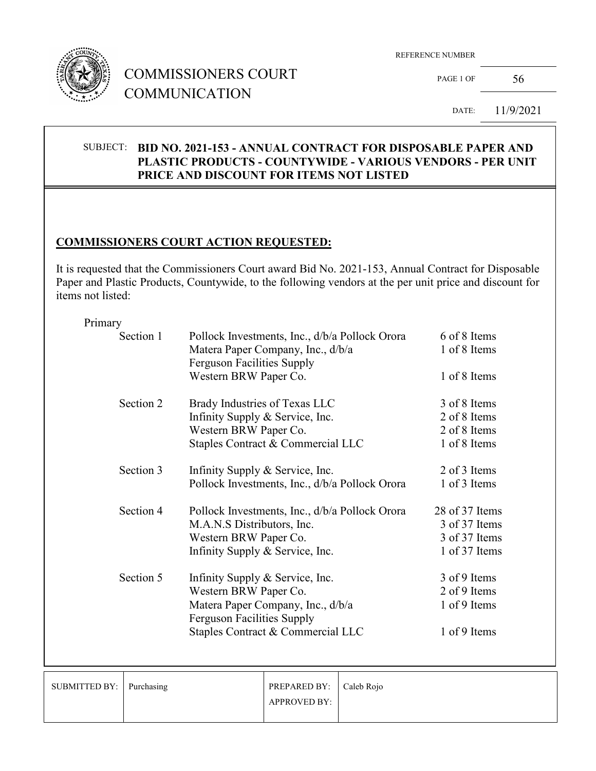

REFERENCE NUMBER

PAGE 1 OF  $56$ 

DATE: 11/9/2021

#### SUBJECT: **BID NO. 2021-153 - ANNUAL CONTRACT FOR DISPOSABLE PAPER AND PLASTIC PRODUCTS - COUNTYWIDE - VARIOUS VENDORS - PER UNIT PRICE AND DISCOUNT FOR ITEMS NOT LISTED**

### **COMMISSIONERS COURT ACTION REQUESTED:**

It is requested that the Commissioners Court award Bid No. 2021-153, Annual Contract for Disposable Paper and Plastic Products, Countywide, to the following vendors at the per unit price and discount for items not listed:

#### Primary

| Section 1 | Pollock Investments, Inc., d/b/a Pollock Orora | 6 of 8 Items   |
|-----------|------------------------------------------------|----------------|
|           | Matera Paper Company, Inc., d/b/a              | 1 of 8 Items   |
|           | <b>Ferguson Facilities Supply</b>              |                |
|           | Western BRW Paper Co.                          | 1 of 8 Items   |
| Section 2 | Brady Industries of Texas LLC                  | 3 of 8 Items   |
|           | Infinity Supply & Service, Inc.                | 2 of 8 Items   |
|           | Western BRW Paper Co.                          | 2 of 8 Items   |
|           | Staples Contract & Commercial LLC              | 1 of 8 Items   |
| Section 3 | Infinity Supply & Service, Inc.                | 2 of 3 Items   |
|           | Pollock Investments, Inc., d/b/a Pollock Orora | 1 of 3 Items   |
| Section 4 | Pollock Investments, Inc., d/b/a Pollock Orora | 28 of 37 Items |
|           | M.A.N.S Distributors, Inc.                     | 3 of 37 Items  |
|           | Western BRW Paper Co.                          | 3 of 37 Items  |
|           | Infinity Supply & Service, Inc.                | 1 of 37 Items  |
| Section 5 | Infinity Supply & Service, Inc.                | 3 of 9 Items   |
|           | Western BRW Paper Co.                          | 2 of 9 Items   |
|           | Matera Paper Company, Inc., d/b/a              | 1 of 9 Items   |
|           | <b>Ferguson Facilities Supply</b>              |                |
|           | Staples Contract & Commercial LLC              | 1 of 9 Items   |
|           |                                                |                |

| SUBMITTED BY: Purchasing | PREPARED BY:   Caleb Rojo |  |
|--------------------------|---------------------------|--|
|                          | <b>APPROVED BY:</b>       |  |
|                          |                           |  |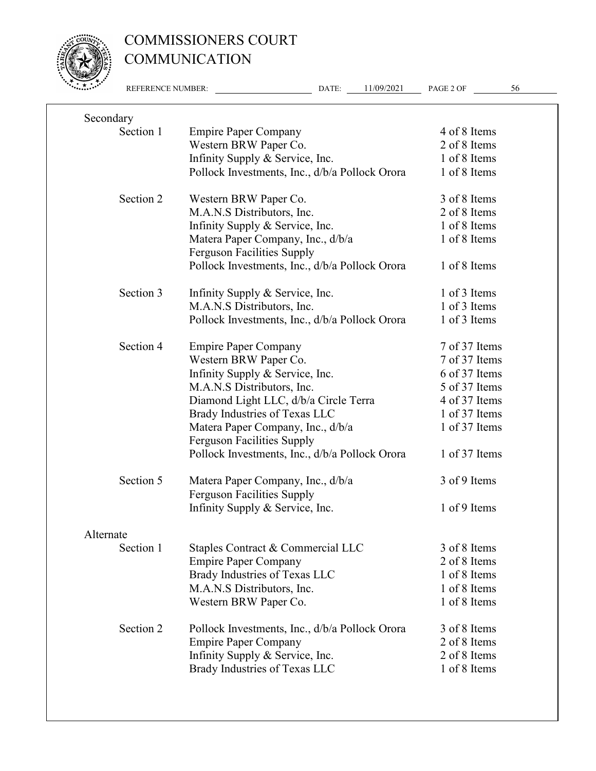

|           | REFERENCE NUMBER: | 11/09/2021<br>DATE:                                                    | PAGE 2 OF     | 56 |
|-----------|-------------------|------------------------------------------------------------------------|---------------|----|
| Secondary |                   |                                                                        |               |    |
|           | Section 1         | <b>Empire Paper Company</b>                                            | 4 of 8 Items  |    |
|           |                   | Western BRW Paper Co.                                                  | 2 of 8 Items  |    |
|           |                   | Infinity Supply & Service, Inc.                                        | 1 of 8 Items  |    |
|           |                   | Pollock Investments, Inc., d/b/a Pollock Orora                         | 1 of 8 Items  |    |
|           | Section 2         | Western BRW Paper Co.                                                  | 3 of 8 Items  |    |
|           |                   | M.A.N.S Distributors, Inc.                                             | 2 of 8 Items  |    |
|           |                   | Infinity Supply & Service, Inc.                                        | 1 of 8 Items  |    |
|           |                   | Matera Paper Company, Inc., d/b/a<br><b>Ferguson Facilities Supply</b> | 1 of 8 Items  |    |
|           |                   | Pollock Investments, Inc., d/b/a Pollock Orora                         | 1 of 8 Items  |    |
|           | Section 3         | Infinity Supply & Service, Inc.                                        | 1 of 3 Items  |    |
|           |                   | M.A.N.S Distributors, Inc.                                             | 1 of 3 Items  |    |
|           |                   | Pollock Investments, Inc., d/b/a Pollock Orora                         | 1 of 3 Items  |    |
|           | Section 4         | <b>Empire Paper Company</b>                                            | 7 of 37 Items |    |
|           |                   | Western BRW Paper Co.                                                  | 7 of 37 Items |    |
|           |                   | Infinity Supply & Service, Inc.                                        | 6 of 37 Items |    |
|           |                   | M.A.N.S Distributors, Inc.                                             | 5 of 37 Items |    |
|           |                   | Diamond Light LLC, d/b/a Circle Terra                                  | 4 of 37 Items |    |
|           |                   | Brady Industries of Texas LLC                                          | 1 of 37 Items |    |
|           |                   | Matera Paper Company, Inc., d/b/a<br><b>Ferguson Facilities Supply</b> | 1 of 37 Items |    |
|           |                   | Pollock Investments, Inc., d/b/a Pollock Orora                         | 1 of 37 Items |    |
|           | Section 5         | Matera Paper Company, Inc., d/b/a<br><b>Ferguson Facilities Supply</b> | 3 of 9 Items  |    |
|           |                   | Infinity Supply & Service, Inc.                                        | 1 of 9 Items  |    |
| Alternate |                   |                                                                        |               |    |
|           | Section 1         | Staples Contract & Commercial LLC                                      | 3 of 8 Items  |    |
|           |                   | <b>Empire Paper Company</b>                                            | 2 of 8 Items  |    |
|           |                   | Brady Industries of Texas LLC                                          | 1 of 8 Items  |    |
|           |                   | M.A.N.S Distributors, Inc.                                             | 1 of 8 Items  |    |
|           |                   | Western BRW Paper Co.                                                  | 1 of 8 Items  |    |
|           | Section 2         | Pollock Investments, Inc., d/b/a Pollock Orora                         | 3 of 8 Items  |    |
|           |                   | <b>Empire Paper Company</b>                                            | 2 of 8 Items  |    |
|           |                   | Infinity Supply & Service, Inc.                                        | 2 of 8 Items  |    |
|           |                   | Brady Industries of Texas LLC                                          | 1 of 8 Items  |    |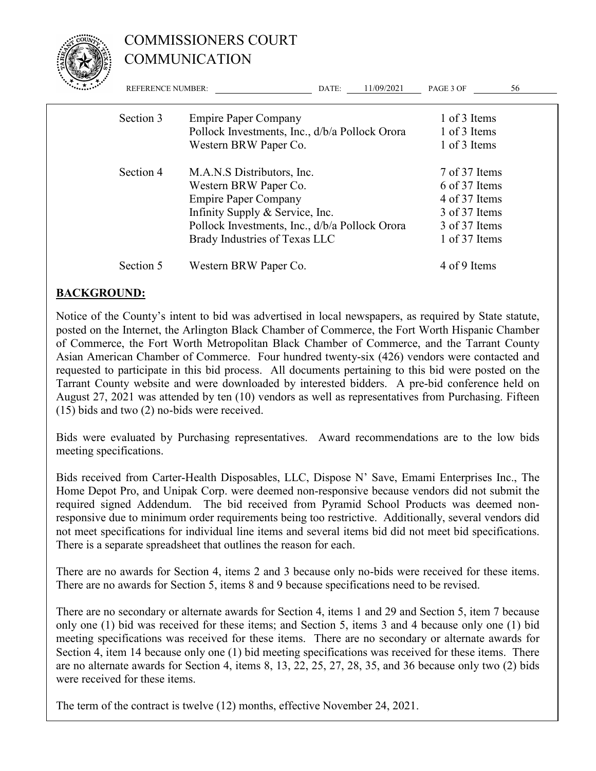

| $\mathcal{F} = \mathcal{F} \times \mathcal{F}$ | <b>REFERENCE NUMBER:</b> |                                                                         | DATE: | 11/09/2021 | PAGE 3 OF                    | 56 |
|------------------------------------------------|--------------------------|-------------------------------------------------------------------------|-------|------------|------------------------------|----|
|                                                | Section 3                | <b>Empire Paper Company</b>                                             |       |            | 1 of 3 Items                 |    |
|                                                |                          | Pollock Investments, Inc., d/b/a Pollock Orora<br>Western BRW Paper Co. |       |            | 1 of 3 Items<br>1 of 3 Items |    |
|                                                |                          |                                                                         |       |            |                              |    |
|                                                | Section 4                | M.A.N.S Distributors, Inc.                                              |       |            | 7 of 37 Items                |    |
|                                                |                          | Western BRW Paper Co.                                                   |       |            | 6 of 37 Items                |    |
|                                                |                          | <b>Empire Paper Company</b>                                             |       |            | 4 of 37 Items                |    |
|                                                |                          | Infinity Supply & Service, Inc.                                         |       |            | 3 of 37 Items                |    |
|                                                |                          | Pollock Investments, Inc., d/b/a Pollock Orora                          |       |            | 3 of 37 Items                |    |
|                                                |                          | Brady Industries of Texas LLC                                           |       |            | 1 of 37 Items                |    |
|                                                | Section 5                | Western BRW Paper Co.                                                   |       |            | 4 of 9 Items                 |    |

#### **BACKGROUND:**

Notice of the County's intent to bid was advertised in local newspapers, as required by State statute, posted on the Internet, the Arlington Black Chamber of Commerce, the Fort Worth Hispanic Chamber of Commerce, the Fort Worth Metropolitan Black Chamber of Commerce, and the Tarrant County Asian American Chamber of Commerce. Four hundred twenty-six (426) vendors were contacted and requested to participate in this bid process. All documents pertaining to this bid were posted on the Tarrant County website and were downloaded by interested bidders. A pre-bid conference held on August 27, 2021 was attended by ten (10) vendors as well as representatives from Purchasing. Fifteen (15) bids and two (2) no-bids were received.

Bids were evaluated by Purchasing representatives. Award recommendations are to the low bids meeting specifications.

Bids received from Carter-Health Disposables, LLC, Dispose N' Save, Emami Enterprises Inc., The Home Depot Pro, and Unipak Corp. were deemed non-responsive because vendors did not submit the required signed Addendum. The bid received from Pyramid School Products was deemed nonresponsive due to minimum order requirements being too restrictive. Additionally, several vendors did not meet specifications for individual line items and several items bid did not meet bid specifications. There is a separate spreadsheet that outlines the reason for each.

There are no awards for Section 4, items 2 and 3 because only no-bids were received for these items. There are no awards for Section 5, items 8 and 9 because specifications need to be revised.

There are no secondary or alternate awards for Section 4, items 1 and 29 and Section 5, item 7 because only one (1) bid was received for these items; and Section 5, items 3 and 4 because only one (1) bid meeting specifications was received for these items. There are no secondary or alternate awards for Section 4, item 14 because only one (1) bid meeting specifications was received for these items. There are no alternate awards for Section 4, items 8, 13, 22, 25, 27, 28, 35, and 36 because only two (2) bids were received for these items.

The term of the contract is twelve (12) months, effective November 24, 2021.